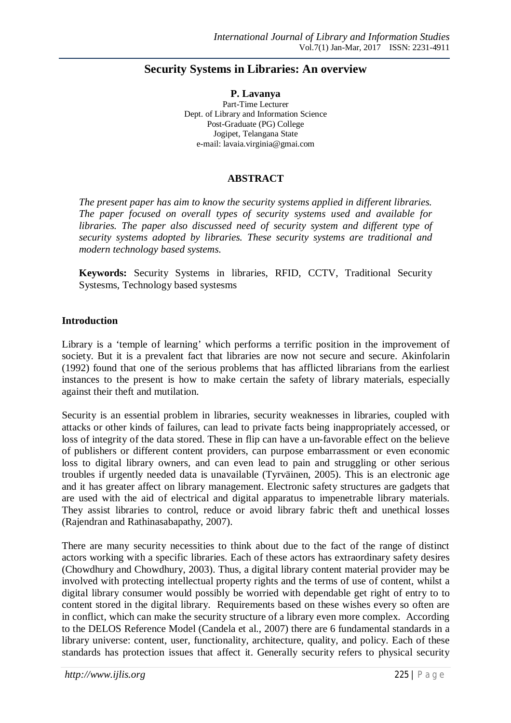# **Security Systems in Libraries: An overview**

**P. Lavanya** Part-Time Lecturer Dept. of Library and Information Science Post-Graduate (PG) College Jogipet, Telangana State e-mail: lavaia.virginia@gmai.com

#### **ABSTRACT**

*The present paper has aim to know the security systems applied in different libraries. The paper focused on overall types of security systems used and available for libraries. The paper also discussed need of security system and different type of security systems adopted by libraries. These security systems are traditional and modern technology based systems.*

**Keywords:** Security Systems in libraries, RFID, CCTV, Traditional Security Systesms, Technology based systesms

#### **Introduction**

Library is a 'temple of learning' which performs a terrific position in the improvement of society. But it is a prevalent fact that libraries are now not secure and secure. Akinfolarin (1992) found that one of the serious problems that has afflicted librarians from the earliest instances to the present is how to make certain the safety of library materials, especially against their theft and mutilation.

Security is an essential problem in libraries, security weaknesses in libraries, coupled with attacks or other kinds of failures, can lead to private facts being inappropriately accessed, or loss of integrity of the data stored. These in flip can have a un-favorable effect on the believe of publishers or different content providers, can purpose embarrassment or even economic loss to digital library owners, and can even lead to pain and struggling or other serious troubles if urgently needed data is unavailable (Tyrväinen, 2005). This is an electronic age and it has greater affect on library management. Electronic safety structures are gadgets that are used with the aid of electrical and digital apparatus to impenetrable library materials. They assist libraries to control, reduce or avoid library fabric theft and unethical losses (Rajendran and Rathinasabapathy, 2007).

There are many security necessities to think about due to the fact of the range of distinct actors working with a specific libraries. Each of these actors has extraordinary safety desires (Chowdhury and Chowdhury, 2003). Thus, a digital library content material provider may be involved with protecting intellectual property rights and the terms of use of content, whilst a digital library consumer would possibly be worried with dependable get right of entry to to content stored in the digital library. Requirements based on these wishes every so often are in conflict, which can make the security structure of a library even more complex. According to the DELOS Reference Model (Candela et al., 2007) there are 6 fundamental standards in a library universe: content, user, functionality, architecture, quality, and policy. Each of these standards has protection issues that affect it. Generally security refers to physical security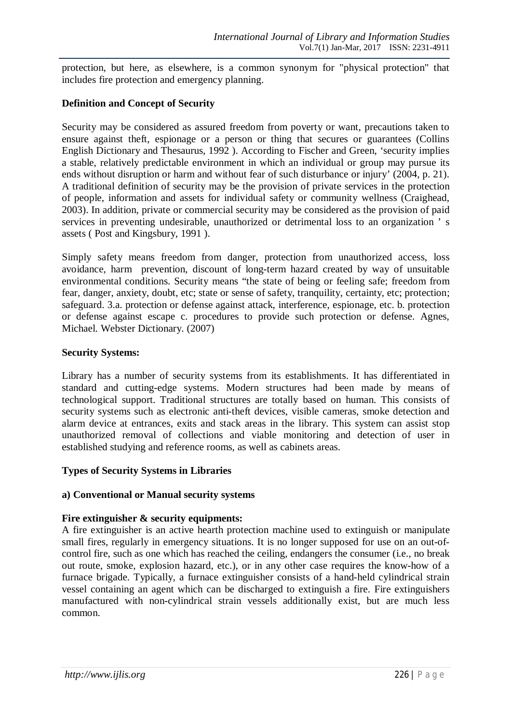protection, but here, as elsewhere, is a common synonym for "physical protection" that includes fire protection and emergency planning.

# **Definition and Concept of Security**

Security may be considered as assured freedom from poverty or want, precautions taken to ensure against theft, espionage or a person or thing that secures or guarantees (Collins English Dictionary and Thesaurus, 1992 ). According to Fischer and Green, 'security implies a stable, relatively predictable environment in which an individual or group may pursue its ends without disruption or harm and without fear of such disturbance or injury' (2004, p. 21). A traditional definition of security may be the provision of private services in the protection of people, information and assets for individual safety or community wellness (Craighead, 2003). In addition, private or commercial security may be considered as the provision of paid services in preventing undesirable, unauthorized or detrimental loss to an organization ' s assets ( Post and Kingsbury, 1991 ).

Simply safety means freedom from danger, protection from unauthorized access, loss avoidance, harm prevention, discount of long-term hazard created by way of unsuitable environmental conditions. Security means "the state of being or feeling safe; freedom from fear, danger, anxiety, doubt, etc; state or sense of safety, tranquility, certainty, etc; protection; safeguard. 3.a. protection or defense against attack, interference, espionage, etc. b. protection or defense against escape c. procedures to provide such protection or defense. Agnes, Michael. Webster Dictionary. (2007)

#### **Security Systems:**

Library has a number of security systems from its establishments. It has differentiated in standard and cutting-edge systems. Modern structures had been made by means of technological support. Traditional structures are totally based on human. This consists of security systems such as electronic anti-theft devices, visible cameras, smoke detection and alarm device at entrances, exits and stack areas in the library. This system can assist stop unauthorized removal of collections and viable monitoring and detection of user in established studying and reference rooms, as well as cabinets areas.

# **Types of Security Systems in Libraries**

#### **a) Conventional or Manual security systems**

# **Fire extinguisher & security equipments:**

A fire extinguisher is an active hearth protection machine used to extinguish or manipulate small fires, regularly in emergency situations. It is no longer supposed for use on an out-ofcontrol fire, such as one which has reached the ceiling, endangers the consumer (i.e., no break out route, smoke, explosion hazard, etc.), or in any other case requires the know-how of a furnace brigade. Typically, a furnace extinguisher consists of a hand-held cylindrical strain vessel containing an agent which can be discharged to extinguish a fire. Fire extinguishers manufactured with non-cylindrical strain vessels additionally exist, but are much less common.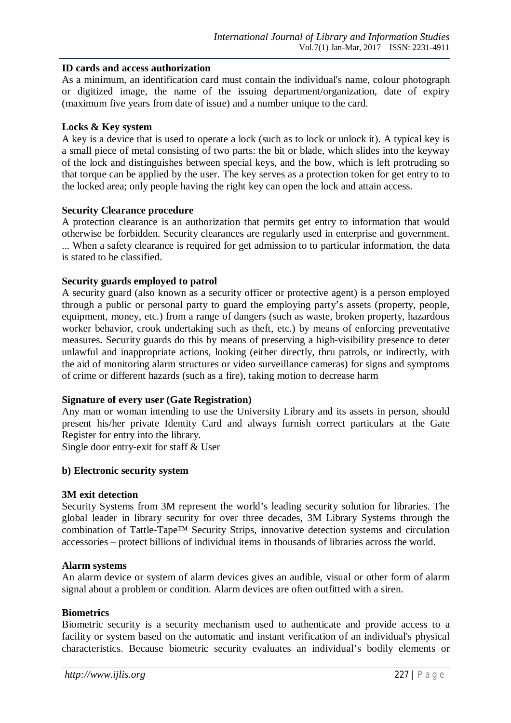#### **ID cards and access authorization**

As a minimum, an identification card must contain the individual's name, colour photograph or digitized image, the name of the issuing department/organization, date of expiry (maximum five years from date of issue) and a number unique to the card.

#### **Locks & Key system**

A key is a device that is used to operate a lock (such as to lock or unlock it). A typical key is a small piece of metal consisting of two parts: the bit or blade, which slides into the keyway of the lock and distinguishes between special keys, and the bow, which is left protruding so that torque can be applied by the user. The key serves as a protection token for get entry to to the locked area; only people having the right key can open the lock and attain access.

#### **Security Clearance procedure**

A protection clearance is an authorization that permits get entry to information that would otherwise be forbidden. Security clearances are regularly used in enterprise and government. ... When a safety clearance is required for get admission to to particular information, the data is stated to be classified.

### **Security guards employed to patrol**

A security guard (also known as a security officer or protective agent) is a person employed through a public or personal party to guard the employing party's assets (property, people, equipment, money, etc.) from a range of dangers (such as waste, broken property, hazardous worker behavior, crook undertaking such as theft, etc.) by means of enforcing preventative measures. Security guards do this by means of preserving a high-visibility presence to deter unlawful and inappropriate actions, looking (either directly, thru patrols, or indirectly, with the aid of monitoring alarm structures or video surveillance cameras) for signs and symptoms of crime or different hazards (such as a fire), taking motion to decrease harm

#### **Signature of every user (Gate Registration)**

Any man or woman intending to use the University Library and its assets in person, should present his/her private Identity Card and always furnish correct particulars at the Gate Register for entry into the library.

Single door entry-exit for staff & User

#### **b) Electronic security system**

#### **3M exit detection**

Security Systems from 3M represent the world's leading security solution for libraries. The global leader in library security for over three decades, 3M Library Systems through the combination of Tattle-Tape™ Security Strips, innovative detection systems and circulation accessories – protect billions of individual items in thousands of libraries across the world.

#### **Alarm systems**

An alarm device or system of alarm devices gives an audible, visual or other form of alarm signal about a problem or condition. Alarm devices are often outfitted with a siren.

#### **Biometrics**

Biometric security is a security mechanism used to authenticate and provide access to a facility or system based on the automatic and instant verification of an individual's physical characteristics. Because biometric security evaluates an individual's bodily elements or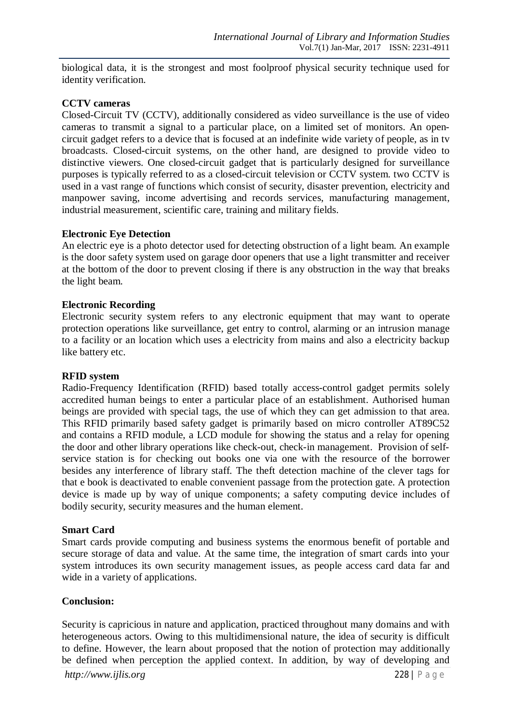biological data, it is the strongest and most foolproof physical security technique used for identity verification.

#### **CCTV cameras**

Closed-Circuit TV (CCTV), additionally considered as video surveillance is the use of video cameras to transmit a signal to a particular place, on a limited set of monitors. An opencircuit gadget refers to a device that is focused at an indefinite wide variety of people, as in tv broadcasts. Closed-circuit systems, on the other hand, are designed to provide video to distinctive viewers. One closed-circuit gadget that is particularly designed for surveillance purposes is typically referred to as a closed-circuit television or CCTV system. two CCTV is used in a vast range of functions which consist of security, disaster prevention, electricity and manpower saving, income advertising and records services, manufacturing management, industrial measurement, scientific care, training and military fields.

#### **Electronic Eye Detection**

An electric eye is a photo detector used for detecting obstruction of a light beam. An example is the door safety system used on garage door openers that use a light transmitter and receiver at the bottom of the door to prevent closing if there is any obstruction in the way that breaks the light beam.

#### **Electronic Recording**

Electronic security system refers to any electronic equipment that may want to operate protection operations like surveillance, get entry to control, alarming or an intrusion manage to a facility or an location which uses a electricity from mains and also a electricity backup like battery etc.

#### **RFID system**

Radio-Frequency Identification (RFID) based totally access-control gadget permits solely accredited human beings to enter a particular place of an establishment. Authorised human beings are provided with special tags, the use of which they can get admission to that area. This RFID primarily based safety gadget is primarily based on micro controller AT89C52 and contains a RFID module, a LCD module for showing the status and a relay for opening the door and other library operations like check-out, check-in management. Provision of selfservice station is for checking out books one via one with the resource of the borrower besides any interference of library staff. The theft detection machine of the clever tags for that e book is deactivated to enable convenient passage from the protection gate. A protection device is made up by way of unique components; a safety computing device includes of bodily security, security measures and the human element.

#### **Smart Card**

Smart cards provide computing and business systems the enormous benefit of portable and secure storage of data and value. At the same time, the integration of smart cards into your system introduces its own security management issues, as people access card data far and wide in a variety of applications.

#### **Conclusion:**

Security is capricious in nature and application, practiced throughout many domains and with heterogeneous actors. Owing to this multidimensional nature, the idea of security is difficult to define. However, the learn about proposed that the notion of protection may additionally be defined when perception the applied context. In addition, by way of developing and

*http://www.ijlis.org* 228 | P a g e